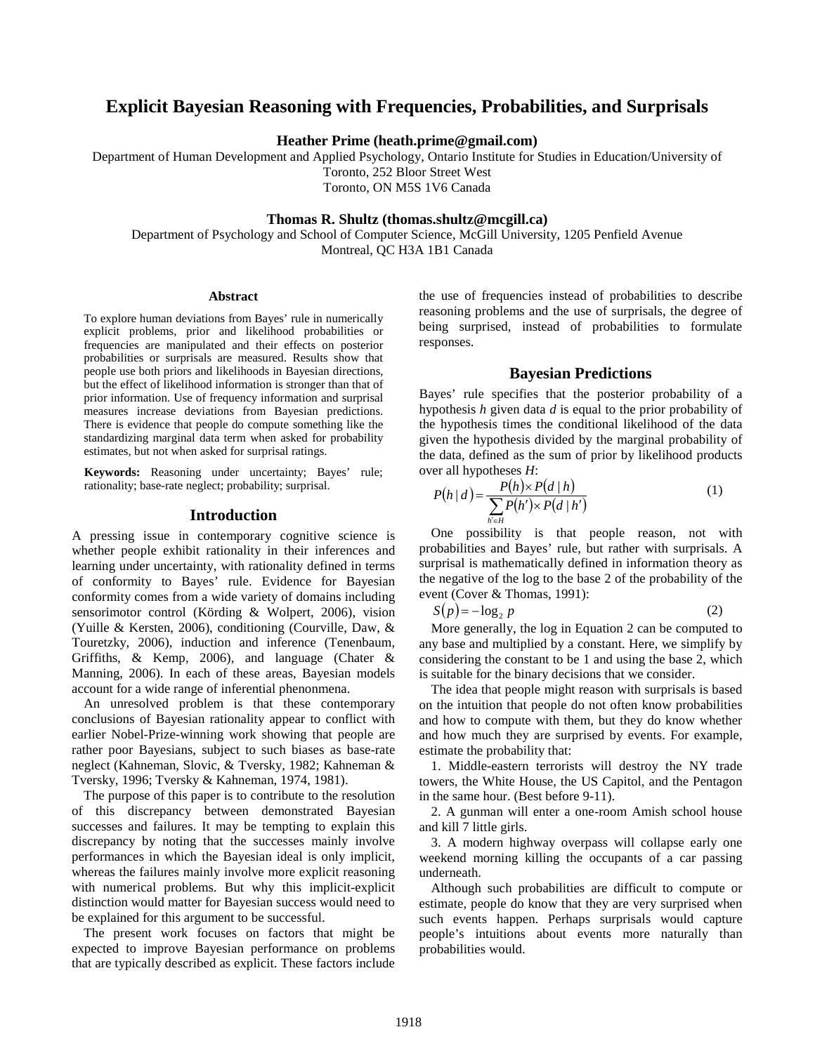# **Explicit Bayesian Reasoning with Frequencies, Probabilities, and Surprisals**

**Heather Prime (heath.prime@gmail.com)**

Department of Human Development and Applied Psychology, Ontario Institute for Studies in Education/University of Toronto, 252 Bloor Street West Toronto, ON M5S 1V6 Canada

#### **Thomas R. Shultz (thomas.shultz@mcgill.ca)**

Department of Psychology and School of Computer Science, McGill University, 1205 Penfield Avenue Montreal, QC H3A 1B1 Canada

#### **Abstract**

To explore human deviations from Bayes' rule in numerically explicit problems, prior and likelihood probabilities or frequencies are manipulated and their effects on posterior probabilities or surprisals are measured. Results show that people use both priors and likelihoods in Bayesian directions, but the effect of likelihood information is stronger than that of prior information. Use of frequency information and surprisal measures increase deviations from Bayesian predictions. There is evidence that people do compute something like the standardizing marginal data term when asked for probability estimates, but not when asked for surprisal ratings.

**Keywords:** Reasoning under uncertainty; Bayes' rule; rationality; base-rate neglect; probability; surprisal.

#### **Introduction**

A pressing issue in contemporary cognitive science is whether people exhibit rationality in their inferences and learning under uncertainty, with rationality defined in terms of conformity to Bayes' rule. Evidence for Bayesian conformity comes from a wide variety of domains including sensorimotor control [\(Körding & Wolpert, 2006\)](#page-5-0), vision [\(Yuille & Kersten, 2006\)](#page-5-1), conditioning [\(Courville, Daw, &](#page-5-2)  [Touretzky, 2006\)](#page-5-2), induction and inference [\(Tenenbaum,](#page-5-3)  [Griffiths, & Kemp, 2006\)](#page-5-3), and language [\(Chater &](#page-5-4)  [Manning, 2006\)](#page-5-4). In each of these areas, Bayesian models account for a wide range of inferential phenonmena.

An unresolved problem is that these contemporary conclusions of Bayesian rationality appear to conflict with earlier Nobel-Prize-winning work showing that people are rather poor Bayesians, subject to such biases as base-rate neglect (Kahneman, [Slovic, & Tversky, 1982;](#page-5-5) [Kahneman &](#page-5-6)  [Tversky, 1996;](#page-5-6) [Tversky & Kahneman, 1974,](#page-5-7) [1981\)](#page-5-8).

The purpose of this paper is to contribute to the resolution of this discrepancy between demonstrated Bayesian successes and failures. It may be tempting to explain this discrepancy by noting that the successes mainly involve performances in which the Bayesian ideal is only implicit, whereas the failures mainly involve more explicit reasoning with numerical problems. But why this implicit-explicit distinction would matter for Bayesian success would need to be explained for this argument to be successful.

The present work focuses on factors that might be expected to improve Bayesian performance on problems that are typically described as explicit. These factors include the use of frequencies instead of probabilities to describe reasoning problems and the use of surprisals, the degree of being surprised, instead of probabilities to formulate responses.

## **Bayesian Predictions**

Bayes' rule specifies that the posterior probability of a hypothesis *h* given data *d* is equal to the prior probability of the hypothesis times the conditional likelihood of the data given the hypothesis divided by the marginal probability of the data, defined as the sum of prior by likelihood products over all hypotheses *H*:

$$
P(h | d) = \frac{P(h) \times P(d | h)}{\sum_{h \in H} P(h') \times P(d | h')}
$$
 (1)

One possibility is that people reason, not with probabilities and Bayes' rule, but rather with surprisals. A surprisal is mathematically defined in information theory as the negative of the log to the base 2 of the probability of the event [\(Cover & Thomas, 1991\)](#page-5-9):

 $S(p) = -\log_2 p$  (2)

More generally, the log in Equation 2 can be computed to any base and multiplied by a constant. Here, we simplify by considering the constant to be 1 and using the base 2, which is suitable for the binary decisions that we consider.

The idea that people might reason with surprisals is based on the intuition that people do not often know probabilities and how to compute with them, but they do know whether and how much they are surprised by events. For example, estimate the probability that:

1. Middle-eastern terrorists will destroy the NY trade towers, the White House, the US Capitol, and the Pentagon in the same hour. (Best before 9-11).

2. A gunman will enter a one-room Amish school house and kill 7 little girls.

3. A modern highway overpass will collapse early one weekend morning killing the occupants of a car passing underneath.

Although such probabilities are difficult to compute or estimate, people do know that they are very surprised when such events happen. Perhaps surprisals would capture people's intuitions about events more naturally than probabilities would.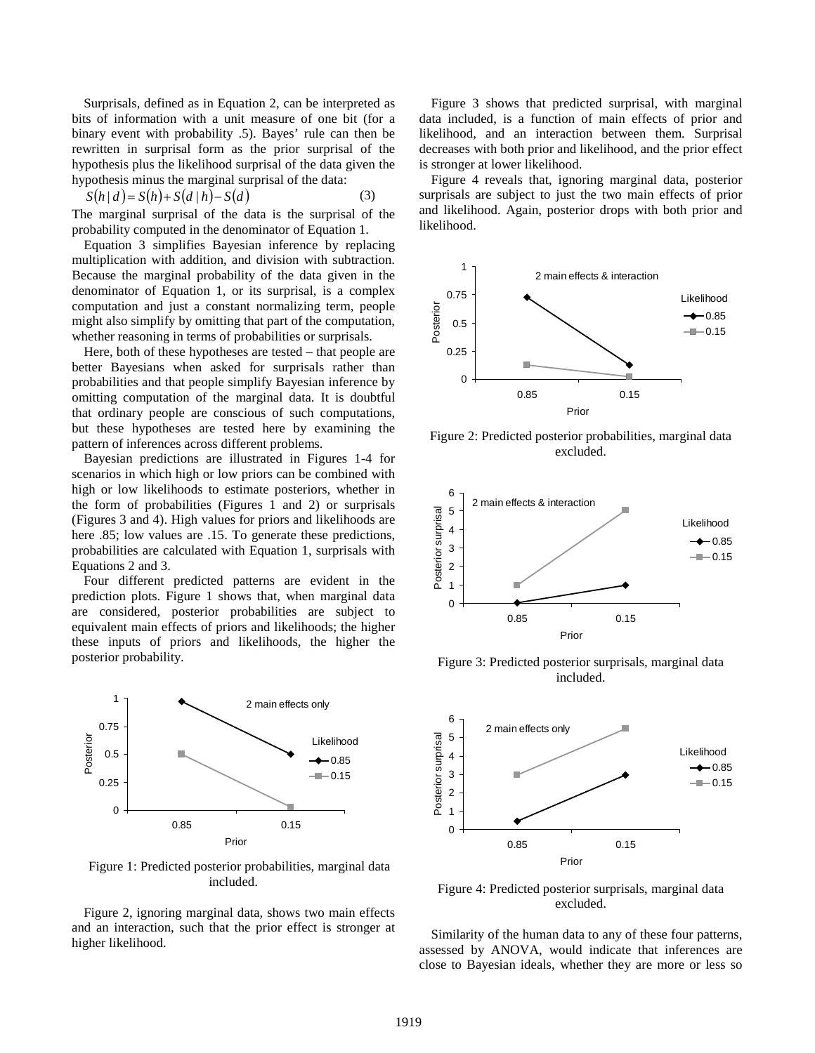Surprisals, defined as in Equation 2, can be interpreted as bits of information with a unit measure of one bit (for a binary event with probability .5). Bayes' rule can then be rewritten in surprisal form as the prior surprisal of the hypothesis plus the likelihood surprisal of the data given the hypothesis minus the marginal surprisal of the data:

$$
S(h | d) = S(h) + S(d | h) - S(d)
$$
 (3)

The marginal surprisal of the data is the surprisal of the probability computed in the denominator of Equation 1.

Equation 3 simplifies Bayesian inference by replacing multiplication with addition, and division with subtraction. Because the marginal probability of the data given in the denominator of Equation 1, or its surprisal, is a complex computation and just a constant normalizing term, people might also simplify by omitting that part of the computation, whether reasoning in terms of probabilities or surprisals.

Here, both of these hypotheses are tested – that people are better Bayesians when asked for surprisals rather than probabilities and that people simplify Bayesian inference by omitting computation of the marginal data. It is doubtful that ordinary people are conscious of such computations, but these hypotheses are tested here by examining the pattern of inferences across different problems.

Bayesian predictions are illustrated in Figures 1-4 for scenarios in which high or low priors can be combined with high or low likelihoods to estimate posteriors, whether in the form of probabilities (Figures 1 and 2) or surprisals (Figures 3 and 4). High values for priors and likelihoods are here  $.85$ ; low values are  $.15$ . To generate these predictions, probabilities are calculated with Equation 1, surprisals with Equations 2 and 3.

Four different predicted patterns are evident in the prediction plots. Figure 1 shows that, when marginal data are considered, posterior probabilities are subject to equivalent main effects of priors and likelihoods; the higher these inputs of priors and likelihoods, the higher the posterior probability.



Figure 1: Predicted posterior probabilities, marginal data included.

Figure 2, ignoring marginal data, shows two main effects and an interaction, such that the prior effect is stronger at higher likelihood.

Figure 3 shows that predicted surprisal, with marginal data included, is a function of main effects of prior and likelihood, and an interaction between them. Surprisal decreases with both prior and likelihood, and the prior effect is stronger at lower likelihood.

Figure 4 reveals that, ignoring marginal data, posterior surprisals are subject to just the two main effects of prior and likelihood. Again, posterior drops with both prior and likelihood.



Figure 2: Predicted posterior probabilities, marginal data excluded.



Figure 3: Predicted posterior surprisals, marginal data included.



Figure 4: Predicted posterior surprisals, marginal data excluded.

Similarity of the human data to any of these four patterns, assessed by ANOVA, would indicate that inferences are close to Bayesian ideals, whether they are more or less so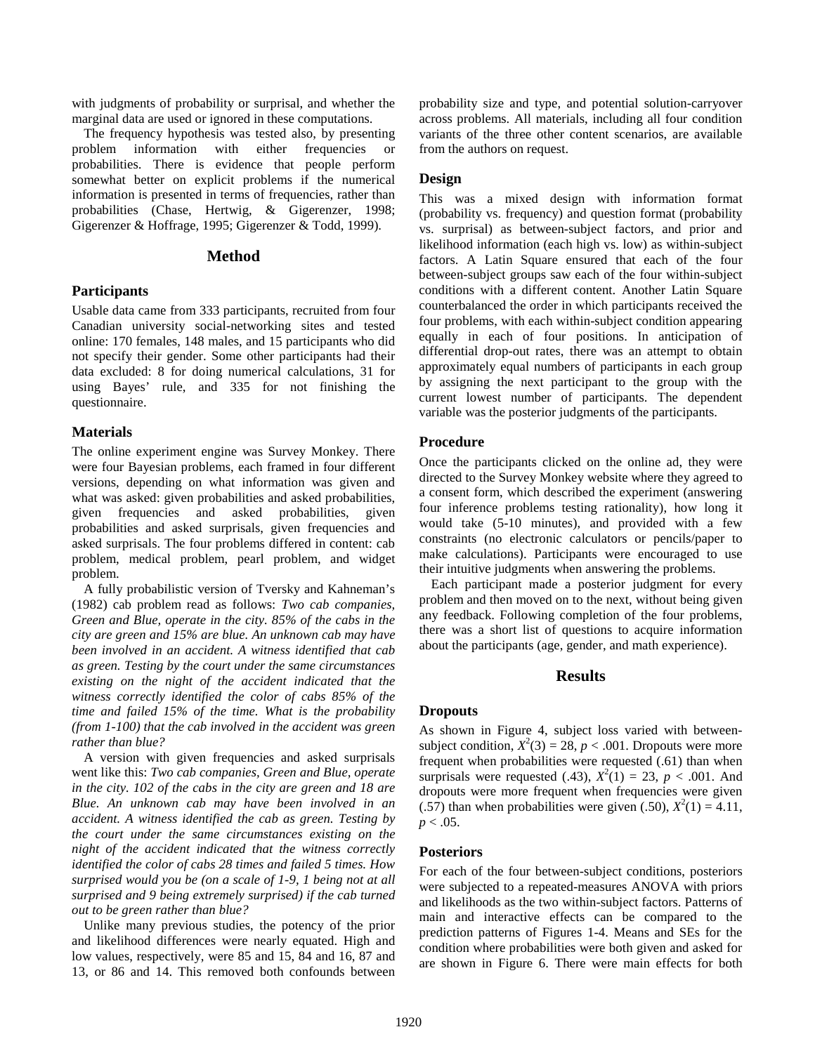with judgments of probability or surprisal, and whether the marginal data are used or ignored in these computations.

The frequency hypothesis was tested also, by presenting problem information with either frequencies or probabilities. There is evidence that people perform somewhat better on explicit problems if the numerical information is presented in terms of frequencies, rather than probabilities [\(Chase, Hertwig, & Gigerenzer, 1998;](#page-5-10) [Gigerenzer & Hoffrage, 1995;](#page-5-11) [Gigerenzer & Todd, 1999\)](#page-5-12).

# **Method**

### **Participants**

Usable data came from 333 participants, recruited from four Canadian university social-networking sites and tested online: 170 females, 148 males, and 15 participants who did not specify their gender. Some other participants had their data excluded: 8 for doing numerical calculations, 31 for using Bayes' rule, and 335 for not finishing the questionnaire.

### **Materials**

The online experiment engine was Survey Monkey. There were four Bayesian problems, each framed in four different versions, depending on what information was given and what was asked: given probabilities and asked probabilities, given frequencies and asked probabilities, given probabilities and asked surprisals, given frequencies and asked surprisals. The four problems differed in content: cab problem, medical problem, pearl problem, and widget problem.

A fully probabilistic version of Tversky and Kahneman's [\(1982\)](#page-5-13) cab problem read as follows: *Two cab companies, Green and Blue, operate in the city. 85% of the cabs in the city are green and 15% are blue. An unknown cab may have been involved in an accident. A witness identified that cab as green. Testing by the court under the same circumstances existing on the night of the accident indicated that the witness correctly identified the color of cabs 85% of the time and failed 15% of the time. What is the probability (from 1-100) that the cab involved in the accident was green rather than blue?*

A version with given frequencies and asked surprisals went like this: *Two cab companies, Green and Blue, operate in the city. 102 of the cabs in the city are green and 18 are Blue. An unknown cab may have been involved in an accident. A witness identified the cab as green. Testing by the court under the same circumstances existing on the night of the accident indicated that the witness correctly identified the color of cabs 28 times and failed 5 times. How surprised would you be (on a scale of 1-9, 1 being not at all surprised and 9 being extremely surprised) if the cab turned out to be green rather than blue?*

Unlike many previous studies, the potency of the prior and likelihood differences were nearly equated. High and low values, respectively, were 85 and 15, 84 and 16, 87 and 13, or 86 and 14. This removed both confounds between probability size and type, and potential solution-carryover across problems. All materials, including all four condition variants of the three other content scenarios, are available from the authors on request.

# **Design**

This was a mixed design with information format (probability vs. frequency) and question format (probability vs. surprisal) as between-subject factors, and prior and likelihood information (each high vs. low) as within-subject factors. A Latin Square ensured that each of the four between-subject groups saw each of the four within-subject conditions with a different content. Another Latin Square counterbalanced the order in which participants received the four problems, with each within-subject condition appearing equally in each of four positions. In anticipation of differential drop-out rates, there was an attempt to obtain approximately equal numbers of participants in each group by assigning the next participant to the group with the current lowest number of participants. The dependent variable was the posterior judgments of the participants.

### **Procedure**

Once the participants clicked on the online ad, they were directed to the Survey Monkey website where they agreed to a consent form, which described the experiment (answering four inference problems testing rationality), how long it would take (5-10 minutes), and provided with a few constraints (no electronic calculators or pencils/paper to make calculations). Participants were encouraged to use their intuitive judgments when answering the problems.

Each participant made a posterior judgment for every problem and then moved on to the next, without being given any feedback. Following completion of the four problems, there was a short list of questions to acquire information about the participants (age, gender, and math experience).

# **Results**

# **Dropouts**

As shown in Figure 4, subject loss varied with betweensubject condition,  $X^2(3) = 28$ ,  $p < .001$ . Dropouts were more frequent when probabilities were requested (.61) than when surprisals were requested (.43),  $X^2(1) = 23$ ,  $p < .001$ . And dropouts were more frequent when frequencies were given (.57) than when probabilities were given (.50),  $X^2(1) = 4.11$ ,  $p < .05$ .

#### **Posteriors**

For each of the four between-subject conditions, posteriors were subjected to a repeated-measures ANOVA with priors and likelihoods as the two within-subject factors. Patterns of main and interactive effects can be compared to the prediction patterns of Figures 1-4. Means and SEs for the condition where probabilities were both given and asked for are shown in Figure 6. There were main effects for both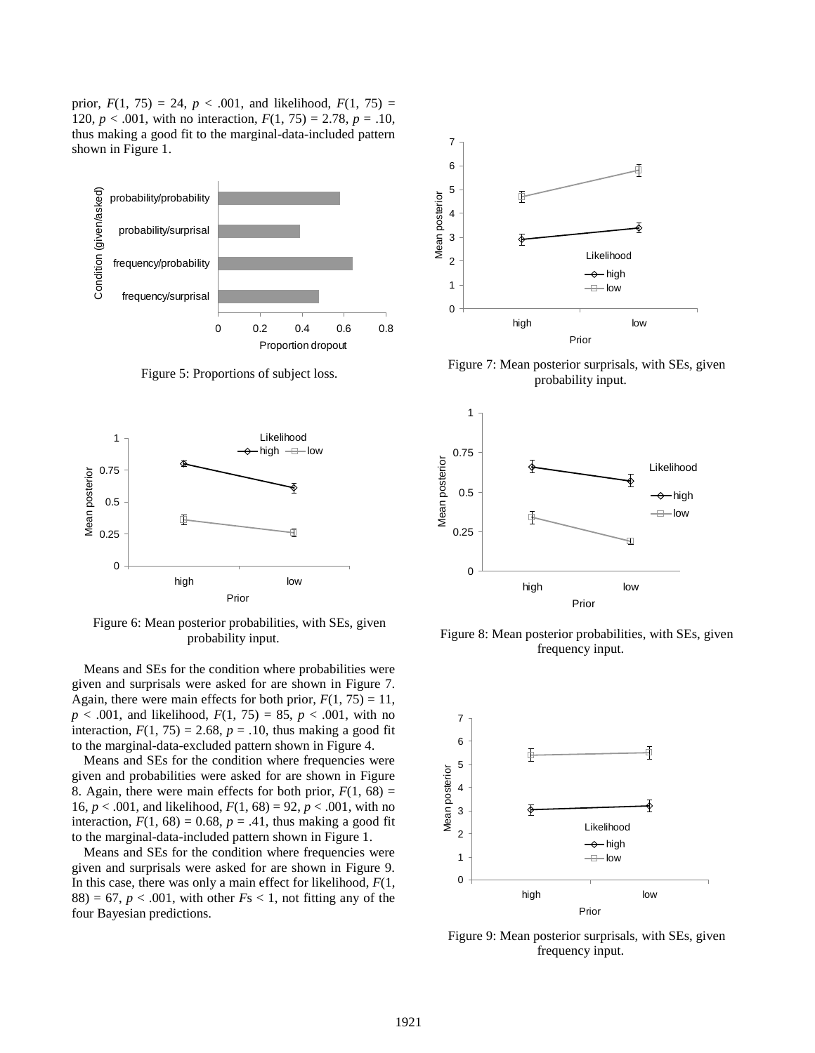prior,  $F(1, 75) = 24$ ,  $p < .001$ , and likelihood,  $F(1, 75) =$ 120,  $p < .001$ , with no interaction,  $F(1, 75) = 2.78$ ,  $p = .10$ , thus making a good fit to the marginal-data-included pattern shown in Figure 1.



Figure 5: Proportions of subject loss.



Figure 6: Mean posterior probabilities, with SEs, given probability input.

Means and SEs for the condition where probabilities were given and surprisals were asked for are shown in Figure 7. Again, there were main effects for both prior,  $F(1, 75) = 11$ , *p* < .001, and likelihood, *F*(1, 75) = 85, *p* < .001, with no interaction,  $F(1, 75) = 2.68$ ,  $p = .10$ , thus making a good fit to the marginal-data-excluded pattern shown in Figure 4.

Means and SEs for the condition where frequencies were given and probabilities were asked for are shown in Figure 8. Again, there were main effects for both prior,  $F(1, 68) =$ 16,  $p < .001$ , and likelihood,  $F(1, 68) = 92$ ,  $p < .001$ , with no interaction,  $F(1, 68) = 0.68$ ,  $p = .41$ , thus making a good fit to the marginal-data-included pattern shown in Figure 1.

Means and SEs for the condition where frequencies were given and surprisals were asked for are shown in Figure 9. In this case, there was only a main effect for likelihood, *F*(1,  $88$ ) = 67, *p* < .001, with other *F*s < 1, not fitting any of the four Bayesian predictions.



Figure 7: Mean posterior surprisals, with SEs, given probability input.



Figure 8: Mean posterior probabilities, with SEs, given frequency input.



Figure 9: Mean posterior surprisals, with SEs, given frequency input.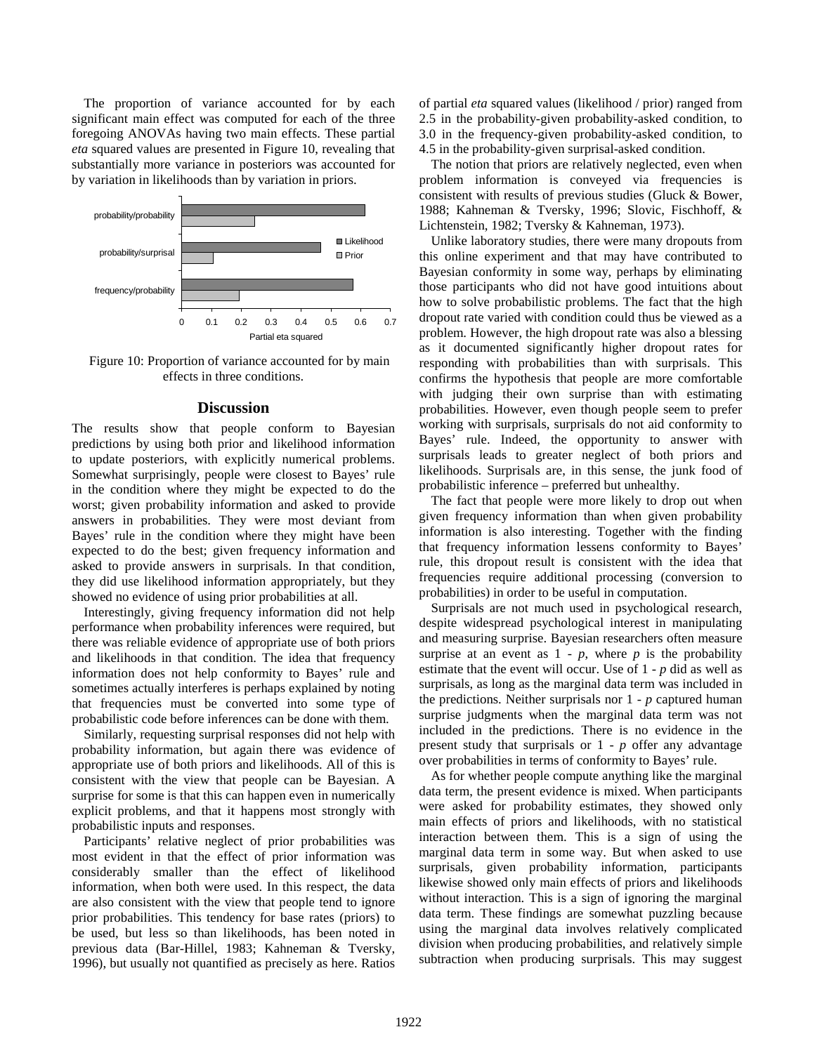The proportion of variance accounted for by each significant main effect was computed for each of the three foregoing ANOVAs having two main effects. These partial *eta* squared values are presented in Figure 10, revealing that substantially more variance in posteriors was accounted for by variation in likelihoods than by variation in priors.



Figure 10: Proportion of variance accounted for by main effects in three conditions.

#### **Discussion**

The results show that people conform to Bayesian predictions by using both prior and likelihood information to update posteriors, with explicitly numerical problems. Somewhat surprisingly, people were closest to Bayes' rule in the condition where they might be expected to do the worst; given probability information and asked to provide answers in probabilities. They were most deviant from Bayes' rule in the condition where they might have been expected to do the best; given frequency information and asked to provide answers in surprisals. In that condition, they did use likelihood information appropriately, but they showed no evidence of using prior probabilities at all.

Interestingly, giving frequency information did not help performance when probability inferences were required, but there was reliable evidence of appropriate use of both priors and likelihoods in that condition. The idea that frequency information does not help conformity to Bayes' rule and sometimes actually interferes is perhaps explained by noting that frequencies must be converted into some type of probabilistic code before inferences can be done with them.

Similarly, requesting surprisal responses did not help with probability information, but again there was evidence of appropriate use of both priors and likelihoods. All of this is consistent with the view that people can be Bayesian. A surprise for some is that this can happen even in numerically explicit problems, and that it happens most strongly with probabilistic inputs and responses.

Participants' relative neglect of prior probabilities was most evident in that the effect of prior information was considerably smaller than the effect of likelihood information, when both were used. In this respect, the data are also consistent with the view that people tend to ignore prior probabilities. This tendency for base rates (priors) to be used, but less so than likelihoods, has been noted in previous data [\(Bar-Hillel, 1983;](#page-5-14) [Kahneman & Tversky,](#page-5-6)  [1996\)](#page-5-6), but usually not quantified as precisely as here. Ratios of partial *eta* squared values (likelihood / prior) ranged from 2.5 in the probability-given probability-asked condition, to 3.0 in the frequency-given probability-asked condition, to 4.5 in the probability-given surprisal-asked condition.

The notion that priors are relatively neglected, even when problem information is conveyed via frequencies is consistent with results of previous studies [\(Gluck & Bower,](#page-5-15)  [1988;](#page-5-15) [Kahneman & Tversky, 1996;](#page-5-6) [Slovic, Fischhoff, &](#page-5-16)  [Lichtenstein, 1982;](#page-5-16) [Tversky & Kahneman, 1973\)](#page-5-17).

Unlike laboratory studies, there were many dropouts from this online experiment and that may have contributed to Bayesian conformity in some way, perhaps by eliminating those participants who did not have good intuitions about how to solve probabilistic problems. The fact that the high dropout rate varied with condition could thus be viewed as a problem. However, the high dropout rate was also a blessing as it documented significantly higher dropout rates for responding with probabilities than with surprisals. This confirms the hypothesis that people are more comfortable with judging their own surprise than with estimating probabilities. However, even though people seem to prefer working with surprisals, surprisals do not aid conformity to Bayes' rule. Indeed, the opportunity to answer with surprisals leads to greater neglect of both priors and likelihoods. Surprisals are, in this sense, the junk food of probabilistic inference – preferred but unhealthy.

The fact that people were more likely to drop out when given frequency information than when given probability information is also interesting. Together with the finding that frequency information lessens conformity to Bayes' rule, this dropout result is consistent with the idea that frequencies require additional processing (conversion to probabilities) in order to be useful in computation.

Surprisals are not much used in psychological research, despite widespread psychological interest in manipulating and measuring surprise. Bayesian researchers often measure surprise at an event as  $1 - p$ , where  $p$  is the probability estimate that the event will occur. Use of 1 - *p* did as well as surprisals, as long as the marginal data term was included in the predictions. Neither surprisals nor  $1 - p$  captured human surprise judgments when the marginal data term was not included in the predictions. There is no evidence in the present study that surprisals or 1 - *p* offer any advantage over probabilities in terms of conformity to Bayes' rule.

As for whether people compute anything like the marginal data term, the present evidence is mixed. When participants were asked for probability estimates, they showed only main effects of priors and likelihoods, with no statistical interaction between them. This is a sign of using the marginal data term in some way. But when asked to use surprisals, given probability information, participants likewise showed only main effects of priors and likelihoods without interaction. This is a sign of ignoring the marginal data term. These findings are somewhat puzzling because using the marginal data involves relatively complicated division when producing probabilities, and relatively simple subtraction when producing surprisals. This may suggest